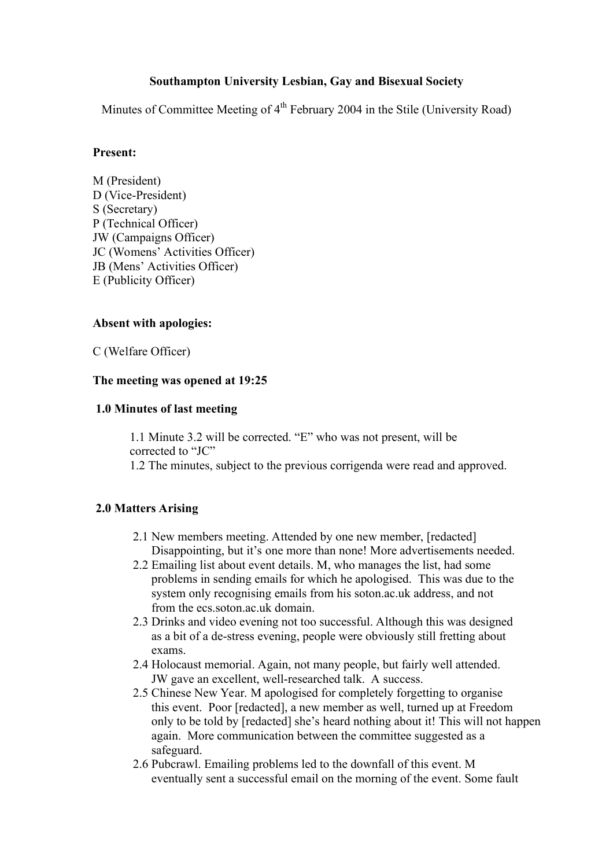# **Southampton University Lesbian, Gay and Bisexual Society**

Minutes of Committee Meeting of  $4<sup>th</sup>$  February 2004 in the Stile (University Road)

### **Present:**

M (President) D (Vice-President) S (Secretary) P (Technical Officer) JW (Campaigns Officer) JC (Womens' Activities Officer) JB (Mens' Activities Officer) E (Publicity Officer)

## **Absent with apologies:**

C (Welfare Officer)

### **The meeting was opened at 19:25**

#### **1.0 Minutes of last meeting**

1.1 Minute 3.2 will be corrected. "E" who was not present, will be corrected to "JC" 1.2 The minutes, subject to the previous corrigenda were read and approved.

## **2.0 Matters Arising**

- 2.1 New members meeting. Attended by one new member, [redacted] Disappointing, but it's one more than none! More advertisements needed.
- 2.2 Emailing list about event details. M, who manages the list, had some problems in sending emails for which he apologised. This was due to the system only recognising emails from his soton.ac.uk address, and not from the ecs soton ac uk domain.
- 2.3 Drinks and video evening not too successful. Although this was designed as a bit of a de-stress evening, people were obviously still fretting about exams.
- 2.4 Holocaust memorial. Again, not many people, but fairly well attended. JW gave an excellent, well-researched talk. A success.
- 2.5 Chinese New Year. M apologised for completely forgetting to organise this event. Poor [redacted], a new member as well, turned up at Freedom only to be told by [redacted] she's heard nothing about it! This will not happen again. More communication between the committee suggested as a safeguard.
- 2.6 Pubcrawl. Emailing problems led to the downfall of this event. M eventually sent a successful email on the morning of the event. Some fault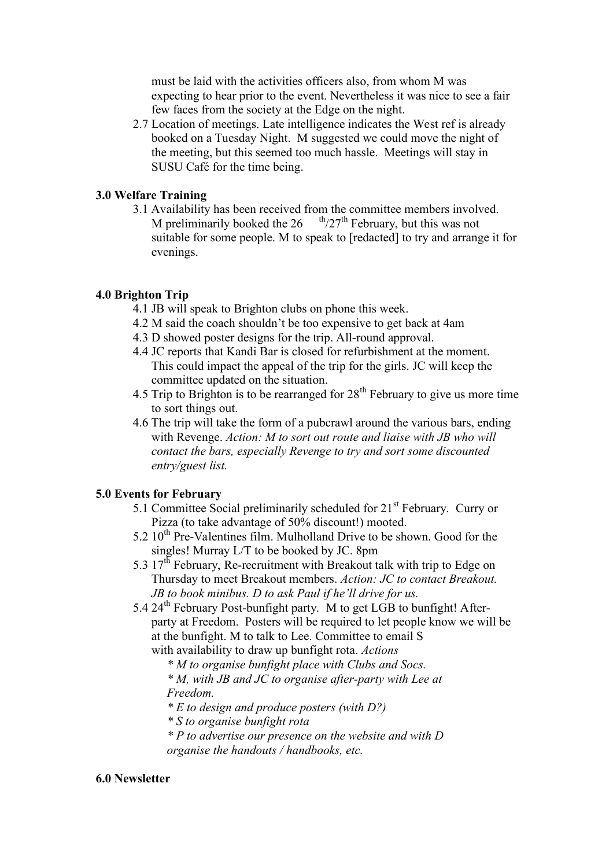must be laid with the activities officers also, from whom M was expecting to hear prior to the event. Nevertheless it was nice to see a fair few faces from the society at the Edge on the night.

2.7 Location of meetings. Late intelligence indicates the West ref is already booked on a Tuesday Night. M suggested we could move the night of the meeting, but this seemed too much hassle. Meetings will stay in SUSU Café for the time being.

## **3.0 Welfare Training**

3.1 Availability has been received from the committee members involved. M preliminarily booked the  $26$ <sup>th</sup>/27<sup>th</sup> February, but this was not suitable for some people. M to speak to [redacted] to try and arrange it for evenings.

# **4.0 Brighton Trip**

- 4.1 JB will speak to Brighton clubs on phone this week.
- 4.2 M said the coach shouldn't be too expensive to get back at 4am
- 4.3 D showed poster designs for the trip. All-round approval.
- 4.4 JC reports that Kandi Bar is closed for refurbishment at the moment. This could impact the appeal of the trip for the girls. JC will keep the committee updated on the situation.
- 4.5 Trip to Brighton is to be rearranged for  $28<sup>th</sup>$  February to give us more time to sort things out.
- 4.6 The trip will take the form of a pubcrawl around the various bars, ending with Revenge. *Action: M to sort out route and liaise with JB who will contact the bars, especially Revenge to try and sort some discounted entry/guest list.*

# **5.0 Events for February**

- 5.1 Committee Social preliminarily scheduled for 21<sup>st</sup> February. Curry or Pizza (to take advantage of 50% discount!) mooted.
- $5.2 10<sup>th</sup>$  Pre-Valentines film. Mulholland Drive to be shown. Good for the singles! Murray L/T to be booked by JC. 8pm
- 5.3  $17<sup>th</sup>$  February, Re-recruitment with Breakout talk with trip to Edge on Thursday to meet Breakout members. *Action: JC to contact Breakout. JB to book minibus. D to ask Paul if he'll drive for us.*
- 5.4 24<sup>th</sup> February Post-bunfight party. M to get LGB to bunfight! Afterparty at Freedom. Posters will be required to let people know we will be at the bunfight. M to talk to Lee. Committee to email S with availability to draw up bunfight rota. *Actions*

*\* M to organise bunfight place with Clubs and Socs.* 

*\* M, with JB and JC to organise after-party with Lee at Freedom.* 

*\* E to design and produce posters (with D?)* 

*\* S to organise bunfight rota* 

*\* P to advertise our presence on the website and with D organise the handouts / handbooks, etc.*

## **6.0 Newsletter**